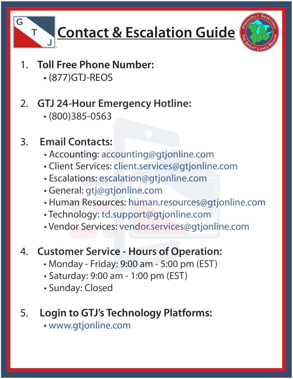

# **Contact & Escalation Guide**



- 1. **Toll Free Phone Number:**
	- (877)GTJ-REOS
- 2. **GTJ 24-Hour Emergency Hotline:**
	- (800)385-0563

## 3. **Email Contacts:**

- Accounting: accounting@gtjonline.com
- Client Services: client.services@gtjonline.com
- Escalations: escalation@gtjonline.com
- General: gtj@gtjonline.com
- Human Resources: human.resources@gtjonline.com
- Technology: td.support@gtjonline.com
- Vendor Services: vendor.services@gtjonline.com

#### 4. **Customer Service - Hours of Operation:**

- Monday Friday: 9:00 am 5:00 pm (EST)
- Saturday: 9:00 am 1:00 pm (EST)
- Sunday: Closed

### 5. **Login to GTJ's Technology Platforms:**

• www.gtjonline.com